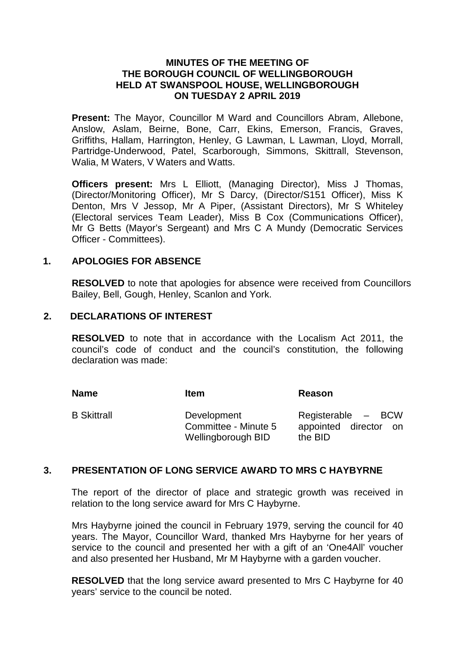### **MINUTES OF THE MEETING OF THE BOROUGH COUNCIL OF WELLINGBOROUGH HELD AT SWANSPOOL HOUSE, WELLINGBOROUGH ON TUESDAY 2 APRIL 2019**

**Present:** The Mayor, Councillor M Ward and Councillors Abram, Allebone, Anslow, Aslam, Beirne, Bone, Carr, Ekins, Emerson, Francis, Graves, Griffiths, Hallam, Harrington, Henley, G Lawman, L Lawman, Lloyd, Morrall, Partridge-Underwood, Patel, Scarborough, Simmons, Skittrall, Stevenson, Walia, M Waters, V Waters and Watts.

**Officers present:** Mrs L Elliott, (Managing Director), Miss J Thomas, (Director/Monitoring Officer), Mr S Darcy, (Director/S151 Officer), Miss K Denton, Mrs V Jessop, Mr A Piper, (Assistant Directors), Mr S Whiteley (Electoral services Team Leader), Miss B Cox (Communications Officer), Mr G Betts (Mayor's Sergeant) and Mrs C A Mundy (Democratic Services Officer - Committees).

## **1. APOLOGIES FOR ABSENCE**

**RESOLVED** to note that apologies for absence were received from Councillors Bailey, Bell, Gough, Henley, Scanlon and York.

### **2. DECLARATIONS OF INTEREST**

**RESOLVED** to note that in accordance with the Localism Act 2011, the council's code of conduct and the council's constitution, the following declaration was made:

| Name               | <b>Item</b>                                               | Reason                                                 |
|--------------------|-----------------------------------------------------------|--------------------------------------------------------|
| <b>B Skittrall</b> | Development<br>Committee - Minute 5<br>Wellingborough BID | Registerable – BCW<br>appointed director on<br>the BID |

## **3. PRESENTATION OF LONG SERVICE AWARD TO MRS C HAYBYRNE**

The report of the director of place and strategic growth was received in relation to the long service award for Mrs C Haybyrne.

Mrs Haybyrne joined the council in February 1979, serving the council for 40 years. The Mayor, Councillor Ward, thanked Mrs Haybyrne for her years of service to the council and presented her with a gift of an 'One4All' voucher and also presented her Husband, Mr M Haybyrne with a garden voucher.

**RESOLVED** that the long service award presented to Mrs C Haybyrne for 40 years' service to the council be noted.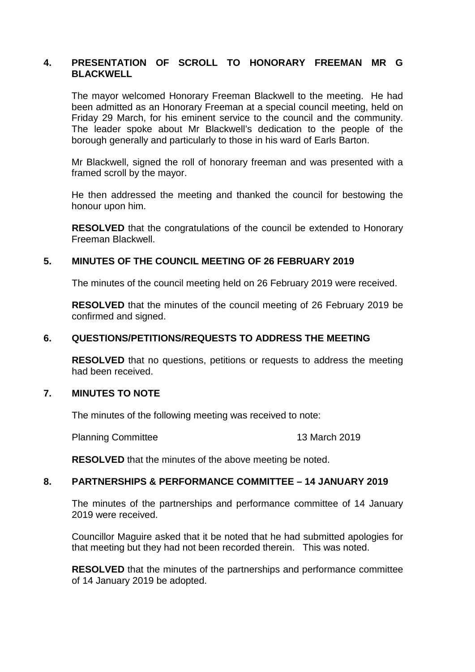## **4. PRESENTATION OF SCROLL TO HONORARY FREEMAN MR G BLACKWELL**

The mayor welcomed Honorary Freeman Blackwell to the meeting. He had been admitted as an Honorary Freeman at a special council meeting, held on Friday 29 March, for his eminent service to the council and the community. The leader spoke about Mr Blackwell's dedication to the people of the borough generally and particularly to those in his ward of Earls Barton.

Mr Blackwell, signed the roll of honorary freeman and was presented with a framed scroll by the mayor.

He then addressed the meeting and thanked the council for bestowing the honour upon him.

**RESOLVED** that the congratulations of the council be extended to Honorary Freeman Blackwell.

## **5. MINUTES OF THE COUNCIL MEETING OF 26 FEBRUARY 2019**

The minutes of the council meeting held on 26 February 2019 were received.

**RESOLVED** that the minutes of the council meeting of 26 February 2019 be confirmed and signed.

### **6. QUESTIONS/PETITIONS/REQUESTS TO ADDRESS THE MEETING**

**RESOLVED** that no questions, petitions or requests to address the meeting had been received.

### **7. MINUTES TO NOTE**

The minutes of the following meeting was received to note:

Planning Committee 13 March 2019

**RESOLVED** that the minutes of the above meeting be noted.

#### **8. PARTNERSHIPS & PERFORMANCE COMMITTEE – 14 JANUARY 2019**

The minutes of the partnerships and performance committee of 14 January 2019 were received.

Councillor Maguire asked that it be noted that he had submitted apologies for that meeting but they had not been recorded therein. This was noted.

**RESOLVED** that the minutes of the partnerships and performance committee of 14 January 2019 be adopted.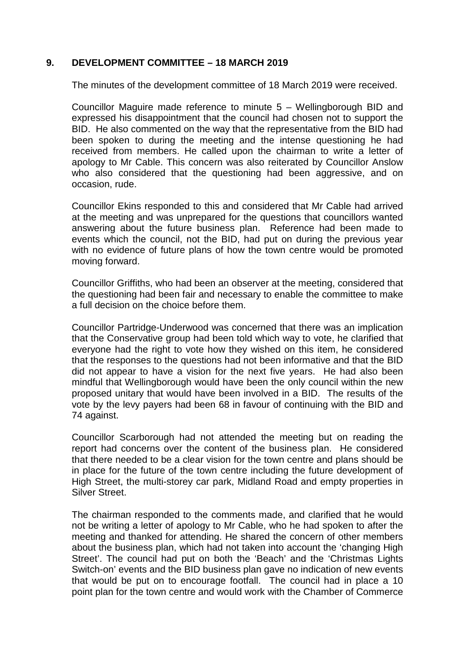# **9. DEVELOPMENT COMMITTEE – 18 MARCH 2019**

The minutes of the development committee of 18 March 2019 were received.

Councillor Maguire made reference to minute 5 – Wellingborough BID and expressed his disappointment that the council had chosen not to support the BID. He also commented on the way that the representative from the BID had been spoken to during the meeting and the intense questioning he had received from members. He called upon the chairman to write a letter of apology to Mr Cable. This concern was also reiterated by Councillor Anslow who also considered that the questioning had been aggressive, and on occasion, rude.

Councillor Ekins responded to this and considered that Mr Cable had arrived at the meeting and was unprepared for the questions that councillors wanted answering about the future business plan. Reference had been made to events which the council, not the BID, had put on during the previous year with no evidence of future plans of how the town centre would be promoted moving forward.

Councillor Griffiths, who had been an observer at the meeting, considered that the questioning had been fair and necessary to enable the committee to make a full decision on the choice before them.

Councillor Partridge-Underwood was concerned that there was an implication that the Conservative group had been told which way to vote, he clarified that everyone had the right to vote how they wished on this item, he considered that the responses to the questions had not been informative and that the BID did not appear to have a vision for the next five years. He had also been mindful that Wellingborough would have been the only council within the new proposed unitary that would have been involved in a BID. The results of the vote by the levy payers had been 68 in favour of continuing with the BID and 74 against.

Councillor Scarborough had not attended the meeting but on reading the report had concerns over the content of the business plan. He considered that there needed to be a clear vision for the town centre and plans should be in place for the future of the town centre including the future development of High Street, the multi-storey car park, Midland Road and empty properties in Silver Street.

The chairman responded to the comments made, and clarified that he would not be writing a letter of apology to Mr Cable, who he had spoken to after the meeting and thanked for attending. He shared the concern of other members about the business plan, which had not taken into account the 'changing High Street'. The council had put on both the 'Beach' and the 'Christmas Lights Switch-on' events and the BID business plan gave no indication of new events that would be put on to encourage footfall. The council had in place a 10 point plan for the town centre and would work with the Chamber of Commerce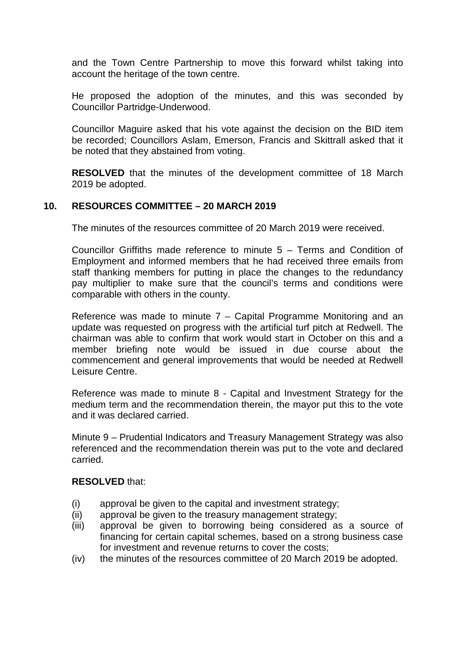and the Town Centre Partnership to move this forward whilst taking into account the heritage of the town centre.

He proposed the adoption of the minutes, and this was seconded by Councillor Partridge-Underwood.

Councillor Maguire asked that his vote against the decision on the BID item be recorded; Councillors Aslam, Emerson, Francis and Skittrall asked that it be noted that they abstained from voting.

**RESOLVED** that the minutes of the development committee of 18 March 2019 be adopted.

## **10. RESOURCES COMMITTEE – 20 MARCH 2019**

The minutes of the resources committee of 20 March 2019 were received.

Councillor Griffiths made reference to minute 5 – Terms and Condition of Employment and informed members that he had received three emails from staff thanking members for putting in place the changes to the redundancy pay multiplier to make sure that the council's terms and conditions were comparable with others in the county.

Reference was made to minute 7 – Capital Programme Monitoring and an update was requested on progress with the artificial turf pitch at Redwell. The chairman was able to confirm that work would start in October on this and a member briefing note would be issued in due course about the commencement and general improvements that would be needed at Redwell Leisure Centre.

Reference was made to minute 8 - Capital and Investment Strategy for the medium term and the recommendation therein, the mayor put this to the vote and it was declared carried.

Minute 9 – Prudential Indicators and Treasury Management Strategy was also referenced and the recommendation therein was put to the vote and declared carried.

#### **RESOLVED** that:

- (i) approval be given to the capital and investment strategy;
- (ii) approval be given to the treasury management strategy;
- (iii) approval be given to borrowing being considered as a source of financing for certain capital schemes, based on a strong business case for investment and revenue returns to cover the costs;
- (iv) the minutes of the resources committee of 20 March 2019 be adopted.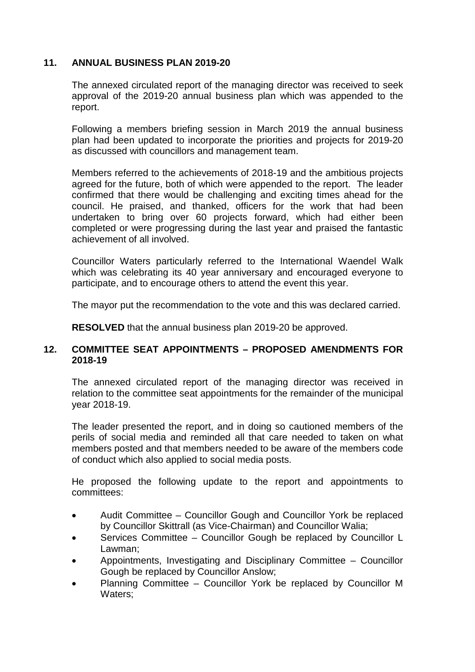# **11. ANNUAL BUSINESS PLAN 2019-20**

The annexed circulated report of the managing director was received to seek approval of the 2019-20 annual business plan which was appended to the report.

Following a members briefing session in March 2019 the annual business plan had been updated to incorporate the priorities and projects for 2019-20 as discussed with councillors and management team.

Members referred to the achievements of 2018-19 and the ambitious projects agreed for the future, both of which were appended to the report. The leader confirmed that there would be challenging and exciting times ahead for the council. He praised, and thanked, officers for the work that had been undertaken to bring over 60 projects forward, which had either been completed or were progressing during the last year and praised the fantastic achievement of all involved.

Councillor Waters particularly referred to the International Waendel Walk which was celebrating its 40 year anniversary and encouraged everyone to participate, and to encourage others to attend the event this year.

The mayor put the recommendation to the vote and this was declared carried.

**RESOLVED** that the annual business plan 2019-20 be approved.

## **12. COMMITTEE SEAT APPOINTMENTS – PROPOSED AMENDMENTS FOR 2018-19**

The annexed circulated report of the managing director was received in relation to the committee seat appointments for the remainder of the municipal year 2018-19.

The leader presented the report, and in doing so cautioned members of the perils of social media and reminded all that care needed to taken on what members posted and that members needed to be aware of the members code of conduct which also applied to social media posts.

He proposed the following update to the report and appointments to committees:

- Audit Committee Councillor Gough and Councillor York be replaced by Councillor Skittrall (as Vice-Chairman) and Councillor Walia;
- Services Committee Councillor Gough be replaced by Councillor L Lawman;
- Appointments, Investigating and Disciplinary Committee Councillor Gough be replaced by Councillor Anslow;
- Planning Committee Councillor York be replaced by Councillor M Waters: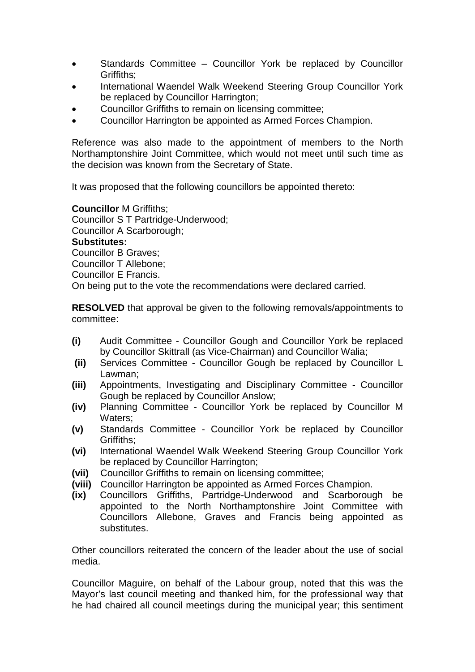- Standards Committee Councillor York be replaced by Councillor Griffiths;
- International Waendel Walk Weekend Steering Group Councillor York be replaced by Councillor Harrington;
- Councillor Griffiths to remain on licensing committee;
- Councillor Harrington be appointed as Armed Forces Champion.

Reference was also made to the appointment of members to the North Northamptonshire Joint Committee, which would not meet until such time as the decision was known from the Secretary of State.

It was proposed that the following councillors be appointed thereto:

**Councillor** M Griffiths; Councillor S T Partridge-Underwood; Councillor A Scarborough; **Substitutes:** Councillor B Graves; Councillor T Allebone; Councillor E Francis. On being put to the vote the recommendations were declared carried.

**RESOLVED** that approval be given to the following removals/appointments to committee:

- **(i)** Audit Committee Councillor Gough and Councillor York be replaced by Councillor Skittrall (as Vice-Chairman) and Councillor Walia;
- **(ii)** Services Committee Councillor Gough be replaced by Councillor L Lawman;
- **(iii)** Appointments, Investigating and Disciplinary Committee Councillor Gough be replaced by Councillor Anslow;
- **(iv)** Planning Committee Councillor York be replaced by Councillor M Waters;
- **(v)** Standards Committee Councillor York be replaced by Councillor Griffiths;
- **(vi)** International Waendel Walk Weekend Steering Group Councillor York be replaced by Councillor Harrington;
- **(vii)** Councillor Griffiths to remain on licensing committee;
- **(viii)** Councillor Harrington be appointed as Armed Forces Champion.
- **(ix)** Councillors Griffiths, Partridge-Underwood and Scarborough be appointed to the North Northamptonshire Joint Committee with Councillors Allebone, Graves and Francis being appointed as substitutes.

Other councillors reiterated the concern of the leader about the use of social media.

Councillor Maguire, on behalf of the Labour group, noted that this was the Mayor's last council meeting and thanked him, for the professional way that he had chaired all council meetings during the municipal year; this sentiment